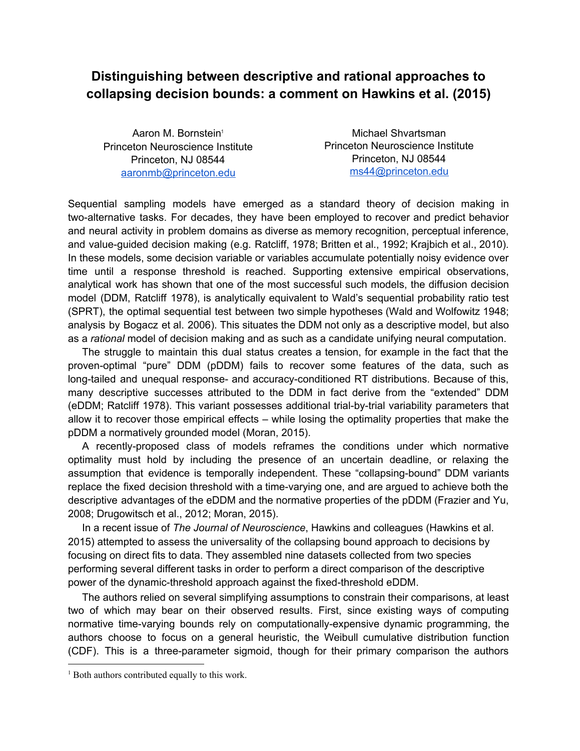## **Distinguishing between descriptive and rational approaches to collapsing decision bounds: a comment on Hawkins et al. (2015)**

Aaron M. Bornstein 1 Princeton Neuroscience Institute Princeton, NJ 08544 [aaronmb@princeton.edu](mailto:aaronmb@princeton.edu)

Michael Shvartsman Princeton Neuroscience Institute Princeton, NJ 08544 [ms44@princeton.edu](mailto:ms44@princeton.edu)

Sequential sampling models have emerged as a standard theory of decision making in two-alternative tasks. For decades, they have been employed to recover and predict behavior and neural activity in problem domains as diverse as memory recognition, perceptual inference, and value-guided decision making (e.g. Ratcliff, 1978; Britten et al., 1992; Krajbich et al., 2010). In these models, some decision variable or variables accumulate potentially noisy evidence over time until a response threshold is reached. Supporting extensive empirical observations, analytical work has shown that one of the most successful such models, the diffusion decision model (DDM, Ratcliff 1978), is analytically equivalent to Wald's sequential probability ratio test (SPRT), the optimal sequential test between two simple hypotheses (Wald and Wolfowitz 1948; analysis by Bogacz et al. 2006). This situates the DDM not only as a descriptive model, but also as a *rational* model of decision making and as such as a candidate unifying neural computation.

The struggle to maintain this dual status creates a tension, for example in the fact that the proven-optimal "pure" DDM (pDDM) fails to recover some features of the data, such as long-tailed and unequal response- and accuracy-conditioned RT distributions. Because of this, many descriptive successes attributed to the DDM in fact derive from the "extended" DDM (eDDM; Ratcliff 1978). This variant possesses additional trial-by-trial variability parameters that allow it to recover those empirical effects – while losing the optimality properties that make the pDDM a normatively grounded model (Moran, 2015).

A recently-proposed class of models reframes the conditions under which normative optimality must hold by including the presence of an uncertain deadline, or relaxing the assumption that evidence is temporally independent. These "collapsing-bound" DDM variants replace the fixed decision threshold with a time-varying one, and are argued to achieve both the descriptive advantages of the eDDM and the normative properties of the pDDM (Frazier and Yu, 2008; Drugowitsch et al., 2012; Moran, 2015).

In a recent issue of *The Journal of Neuroscience*, Hawkins and colleagues (Hawkins et al. 2015) attempted to assess the universality of the collapsing bound approach to decisions by focusing on direct fits to data. They assembled nine datasets collected from two species performing several different tasks in order to perform a direct comparison of the descriptive power of the dynamic-threshold approach against the fixed-threshold eDDM.

The authors relied on several simplifying assumptions to constrain their comparisons, at least two of which may bear on their observed results. First, since existing ways of computing normative time-varying bounds rely on computationally-expensive dynamic programming, the authors choose to focus on a general heuristic, the Weibull cumulative distribution function (CDF). This is a three-parameter sigmoid, though for their primary comparison the authors

<sup>&</sup>lt;sup>1</sup> Both authors contributed equally to this work.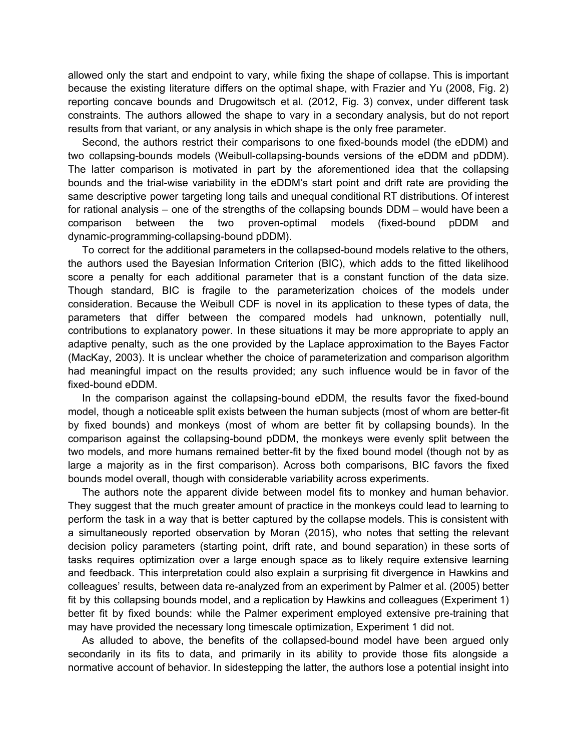allowed only the start and endpoint to vary, while fixing the shape of collapse. This is important because the existing literature differs on the optimal shape, with Frazier and Yu (2008, Fig. 2) reporting concave bounds and Drugowitsch et al. (2012, Fig. 3) convex, under different task constraints. The authors allowed the shape to vary in a secondary analysis, but do not report results from that variant, or any analysis in which shape is the only free parameter.

Second, the authors restrict their comparisons to one fixed-bounds model (the eDDM) and two collapsing-bounds models (Weibull-collapsing-bounds versions of the eDDM and pDDM). The latter comparison is motivated in part by the aforementioned idea that the collapsing bounds and the trial-wise variability in the eDDM's start point and drift rate are providing the same descriptive power targeting long tails and unequal conditional RT distributions. Of interest for rational analysis – one of the strengths of the collapsing bounds DDM – would have been a comparison between the two proven-optimal models (fixed-bound pDDM and dynamic-programming-collapsing-bound pDDM).

To correct for the additional parameters in the collapsed-bound models relative to the others, the authors used the Bayesian Information Criterion (BIC), which adds to the fitted likelihood score a penalty for each additional parameter that is a constant function of the data size. Though standard, BIC is fragile to the parameterization choices of the models under consideration. Because the Weibull CDF is novel in its application to these types of data, the parameters that differ between the compared models had unknown, potentially null, contributions to explanatory power. In these situations it may be more appropriate to apply an adaptive penalty, such as the one provided by the Laplace approximation to the Bayes Factor (MacKay, 2003). It is unclear whether the choice of parameterization and comparison algorithm had meaningful impact on the results provided; any such influence would be in favor of the fixed-bound eDDM.

In the comparison against the collapsing-bound eDDM, the results favor the fixed-bound model, though a noticeable split exists between the human subjects (most of whom are better-fit by fixed bounds) and monkeys (most of whom are better fit by collapsing bounds). In the comparison against the collapsing-bound pDDM, the monkeys were evenly split between the two models, and more humans remained better-fit by the fixed bound model (though not by as large a majority as in the first comparison). Across both comparisons, BIC favors the fixed bounds model overall, though with considerable variability across experiments.

The authors note the apparent divide between model fits to monkey and human behavior. They suggest that the much greater amount of practice in the monkeys could lead to learning to perform the task in a way that is better captured by the collapse models. This is consistent with a simultaneously reported observation by Moran (2015), who notes that setting the relevant decision policy parameters (starting point, drift rate, and bound separation) in these sorts of tasks requires optimization over a large enough space as to likely require extensive learning and feedback. This interpretation could also explain a surprising fit divergence in Hawkins and colleagues' results, between data re-analyzed from an experiment by Palmer et al. (2005) better fit by this collapsing bounds model, and a replication by Hawkins and colleagues (Experiment 1) better fit by fixed bounds: while the Palmer experiment employed extensive pre-training that may have provided the necessary long timescale optimization, Experiment 1 did not.

As alluded to above, the benefits of the collapsed-bound model have been argued only secondarily in its fits to data, and primarily in its ability to provide those fits alongside a normative account of behavior. In sidestepping the latter, the authors lose a potential insight into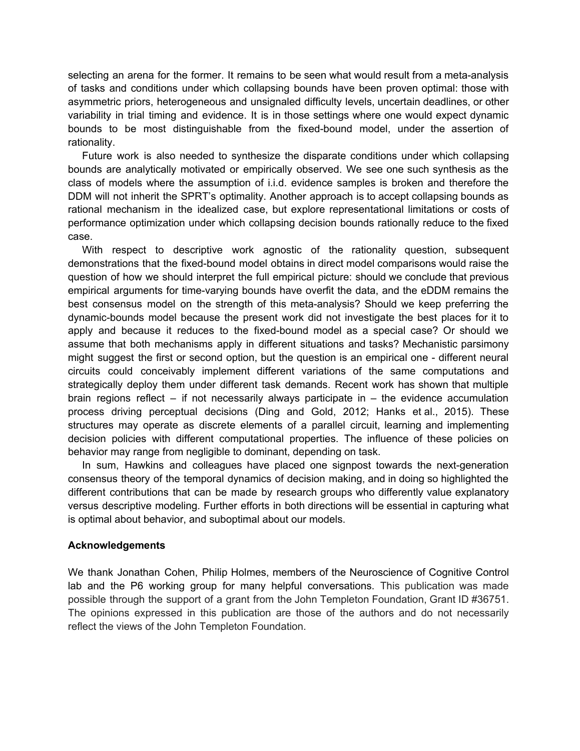selecting an arena for the former. It remains to be seen what would result from a meta-analysis of tasks and conditions under which collapsing bounds have been proven optimal: those with asymmetric priors, heterogeneous and unsignaled difficulty levels, uncertain deadlines, or other variability in trial timing and evidence. It is in those settings where one would expect dynamic bounds to be most distinguishable from the fixed-bound model, under the assertion of rationality.

Future work is also needed to synthesize the disparate conditions under which collapsing bounds are analytically motivated or empirically observed. We see one such synthesis as the class of models where the assumption of i.i.d. evidence samples is broken and therefore the DDM will not inherit the SPRT's optimality. Another approach is to accept collapsing bounds as rational mechanism in the idealized case, but explore representational limitations or costs of performance optimization under which collapsing decision bounds rationally reduce to the fixed case.

With respect to descriptive work agnostic of the rationality question, subsequent demonstrations that the fixed-bound model obtains in direct model comparisons would raise the question of how we should interpret the full empirical picture: should we conclude that previous empirical arguments for time-varying bounds have overfit the data, and the eDDM remains the best consensus model on the strength of this meta-analysis? Should we keep preferring the dynamic-bounds model because the present work did not investigate the best places for it to apply and because it reduces to the fixed-bound model as a special case? Or should we assume that both mechanisms apply in different situations and tasks? Mechanistic parsimony might suggest the first or second option, but the question is an empirical one - different neural circuits could conceivably implement different variations of the same computations and strategically deploy them under different task demands. Recent work has shown that multiple brain regions reflect – if not necessarily always participate in – the evidence accumulation process driving perceptual decisions (Ding and Gold, 2012; Hanks et al., 2015). These structures may operate as discrete elements of a parallel circuit, learning and implementing decision policies with different computational properties. The influence of these policies on behavior may range from negligible to dominant, depending on task.

In sum, Hawkins and colleagues have placed one signpost towards the next-generation consensus theory of the temporal dynamics of decision making, and in doing so highlighted the different contributions that can be made by research groups who differently value explanatory versus descriptive modeling. Further efforts in both directions will be essential in capturing what is optimal about behavior, and suboptimal about our models.

## **Acknowledgements**

We thank Jonathan Cohen, Philip Holmes, members of the Neuroscience of Cognitive Control lab and the P6 working group for many helpful conversations. This publication was made possible through the support of a grant from the John Templeton Foundation, Grant ID #36751. The opinions expressed in this publication are those of the authors and do not necessarily reflect the views of the John Templeton Foundation.